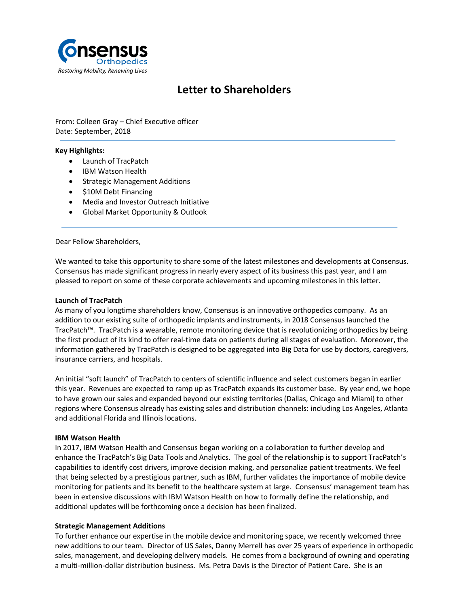

# **Letter to Shareholders**

From: Colleen Gray – Chief Executive officer Date: September, 2018

### **Key Highlights:**

- Launch of TracPatch
- IBM Watson Health
- Strategic Management Additions
- \$10M Debt Financing
- Media and Investor Outreach Initiative
- Global Market Opportunity & Outlook

Dear Fellow Shareholders,

We wanted to take this opportunity to share some of the latest milestones and developments at Consensus. Consensus has made significant progress in nearly every aspect of its business this past year, and I am pleased to report on some of these corporate achievements and upcoming milestones in this letter.

#### **Launch of TracPatch**

As many of you longtime shareholders know, Consensus is an innovative orthopedics company. As an addition to our existing suite of orthopedic implants and instruments, in 2018 Consensus launched the [TracPatch™.](http://www.tracpatch.com/) TracPatch is a wearable, remote monitoring device that is revolutionizing orthopedics by being the first product of its kind to offer real-time data on patients during all stages of evaluation. Moreover, the information gathered by TracPatch is designed to be aggregated into Big Data for use by doctors, caregivers, insurance carriers, and hospitals.

An initial "soft launch" of TracPatch to centers of scientific influence and select customers began in earlier this year. Revenues are expected to ramp up as TracPatch expands its customer base. By year end, we hope to have grown our sales and expanded beyond our existing territories (Dallas, Chicago and Miami) to other regions where Consensus already has existing sales and distribution channels: including Los Angeles, Atlanta and additional Florida and Illinois locations.

#### **IBM Watson Health**

In 2017, IBM Watson Health and Consensus began working on a collaboration to further develop and enhance the TracPatch's Big Data Tools and Analytics. The goal of the relationship is to support TracPatch's capabilities to identify cost drivers, improve decision making, and personalize patient treatments. We feel that being selected by a prestigious partner, such as IBM, further validates the importance of mobile device monitoring for patients and its benefit to the healthcare system at large. Consensus' management team has been in extensive discussions with IBM Watson Health on how to formally define the relationship, and additional updates will be forthcoming once a decision has been finalized.

#### **Strategic Management Additions**

To further enhance our expertise in the mobile device and monitoring space, we recently welcomed three new additions to our team. Director of US Sales, Danny Merrell has over 25 years of experience in orthopedic sales, management, and developing delivery models. He comes from a background of owning and operating a multi-million-dollar distribution business. Ms. Petra Davis is the Director of Patient Care. She is an